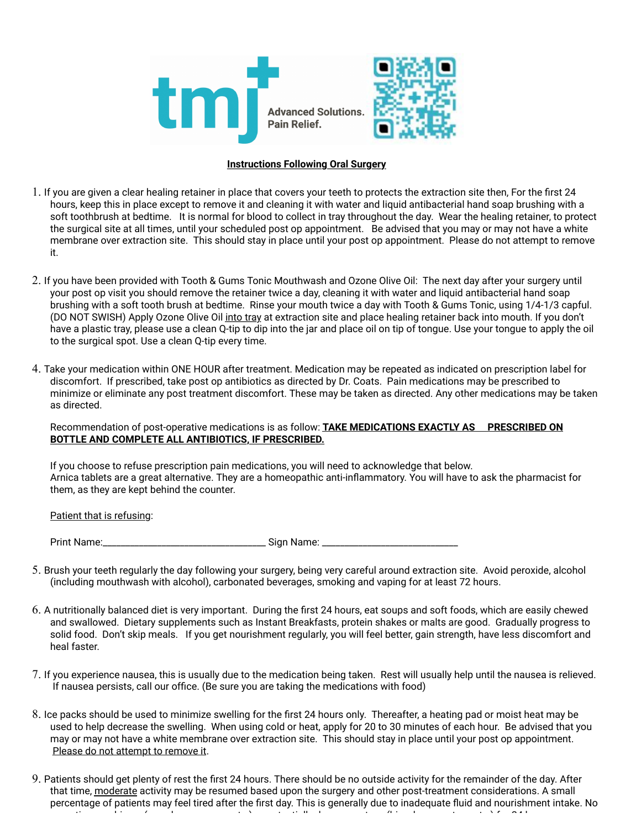

## **Instructions Following Oral Surgery**

- 1. If you are given a clear healing retainer in place that covers your teeth to protects the extraction site then, For the first 24 hours, keep this in place except to remove it and cleaning it with water and liquid antibacterial hand soap brushing with a soft toothbrush at bedtime. It is normal for blood to collect in tray throughout the day. Wear the healing retainer, to protect the surgical site at all times, until your scheduled post op appointment. Be advised that you may or may not have a white membrane over extraction site. This should stay in place until your post op appointment. Please do not attempt to remove it.
- 2. If you have been provided with Tooth & Gums Tonic Mouthwash and Ozone Olive Oil: The next day after your surgery until your post op visit you should remove the retainer twice a day, cleaning it with water and liquid antibacterial hand soap brushing with a soft tooth brush at bedtime. Rinse your mouth twice a day with Tooth & Gums Tonic, using 1/4-1/3 capful. (DO NOT SWISH) Apply Ozone Olive Oil into tray at extraction site and place healing retainer back into mouth. If you don't have a plastic tray, please use a clean Q-tip to dip into the jar and place oil on tip of tongue. Use your tongue to apply the oil to the surgical spot. Use a clean Q-tip every time.
- 4. Take your medication within ONE HOUR after treatment. Medication may be repeated as indicated on prescription label for discomfort. If prescribed, take post op antibiotics as directed by Dr. Coats. Pain medications may be prescribed to minimize or eliminate any post treatment discomfort. These may be taken as directed. Any other medications may be taken as directed.

## Recommendation of post-operative medications is as follow: **TAKE MEDICATIONS EXACTLY AS PRESCRIBED ON BOTTLE AND COMPLETE ALL ANTIBIOTICS, IF PRESCRIBED.**

If you choose to refuse prescription pain medications, you will need to acknowledge that below. Arnica tablets are a great alternative. They are a homeopathic anti-inflammatory. You will have to ask the pharmacist for them, as they are kept behind the counter.

Patient that is refusing:

Print Name:\_\_\_\_\_\_\_\_\_\_\_\_\_\_\_\_\_\_\_\_\_\_\_\_\_\_\_\_\_\_\_\_\_\_\_\_ Sign Name: \_\_\_\_\_\_\_\_\_\_\_\_\_\_\_\_\_\_\_\_\_\_\_\_\_\_\_\_\_\_

- 5. Brush your teeth regularly the day following your surgery, being very careful around extraction site. Avoid peroxide, alcohol (including mouthwash with alcohol), carbonated beverages, smoking and vaping for at least 72 hours.
- 6. A nutritionally balanced diet is very important. During the first 24 hours, eat soups and soft foods, which are easily chewed and swallowed. Dietary supplements such as Instant Breakfasts, protein shakes or malts are good. Gradually progress to solid food. Don't skip meals. If you get nourishment regularly, you will feel better, gain strength, have less discomfort and heal faster.
- 7. If you experience nausea, this is usually due to the medication being taken. Rest will usually help until the nausea is relieved. If nausea persists, call our office. (Be sure you are taking the medications with food)
- 8. Ice packs should be used to minimize swelling for the first 24 hours only. Thereafter, a heating pad or moist heat may be used to help decrease the swelling. When using cold or heat, apply for 20 to 30 minutes of each hour. Be advised that you may or may not have a white membrane over extraction site. This should stay in place until your post op appointment. Please do not attempt to remove it.
- 9. Patients should get plenty of rest the first 24 hours. There should be no outside activity for the remainder of the day. After that time, moderate activity may be resumed based upon the surgery and other post-treatment considerations. A small percentage of patients may feel tired after the first day. This is generally due to inadequate fluid and nourishment intake. No  $\rho$ erating machinery (cars, lawnmowers, scooters, scooters, etc.) for  $\rho$